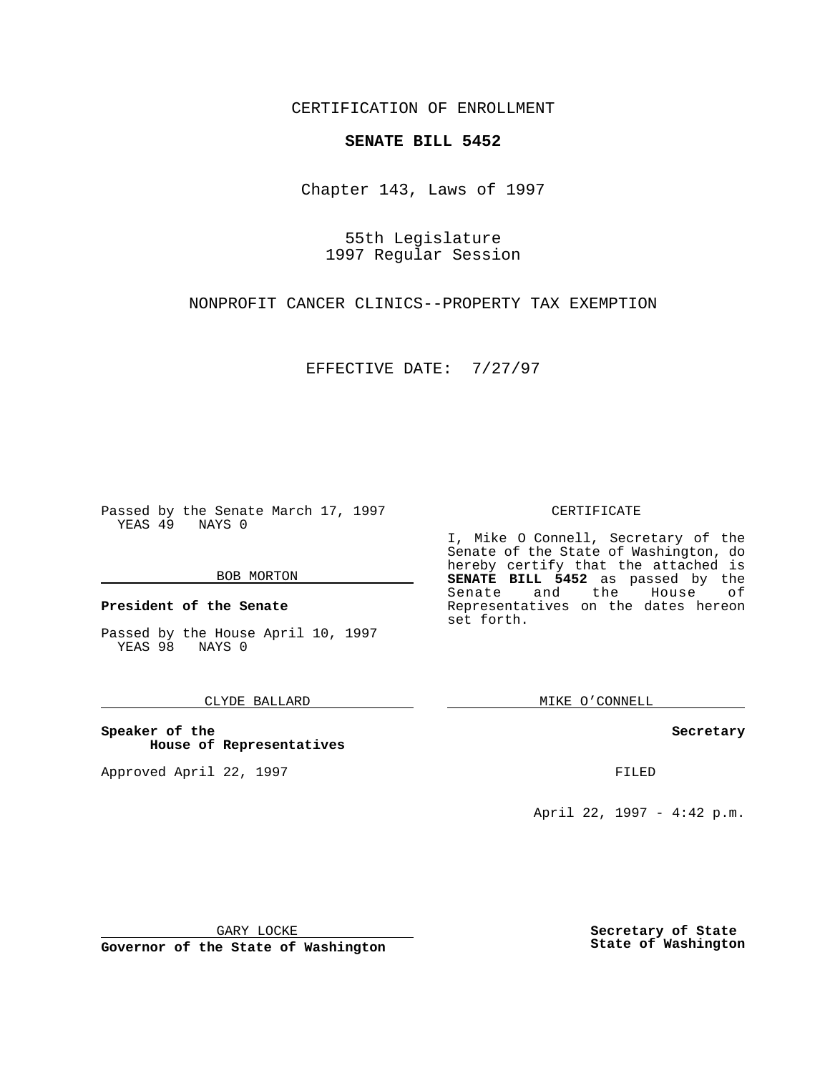CERTIFICATION OF ENROLLMENT

# **SENATE BILL 5452**

Chapter 143, Laws of 1997

55th Legislature 1997 Regular Session

NONPROFIT CANCER CLINICS--PROPERTY TAX EXEMPTION

EFFECTIVE DATE: 7/27/97

Passed by the Senate March 17, 1997 YEAS 49 NAYS 0

#### BOB MORTON

**President of the Senate**

Passed by the House April 10, 1997 YEAS 98 NAYS 0

#### CLYDE BALLARD

**Speaker of the House of Representatives**

Approved April 22, 1997 **FILED** 

#### CERTIFICATE

I, Mike O Connell, Secretary of the Senate of the State of Washington, do hereby certify that the attached is **SENATE BILL 5452** as passed by the Senate and the House of Representatives on the dates hereon set forth.

MIKE O'CONNELL

#### **Secretary**

April 22, 1997 - 4:42 p.m.

GARY LOCKE

**Governor of the State of Washington**

**Secretary of State State of Washington**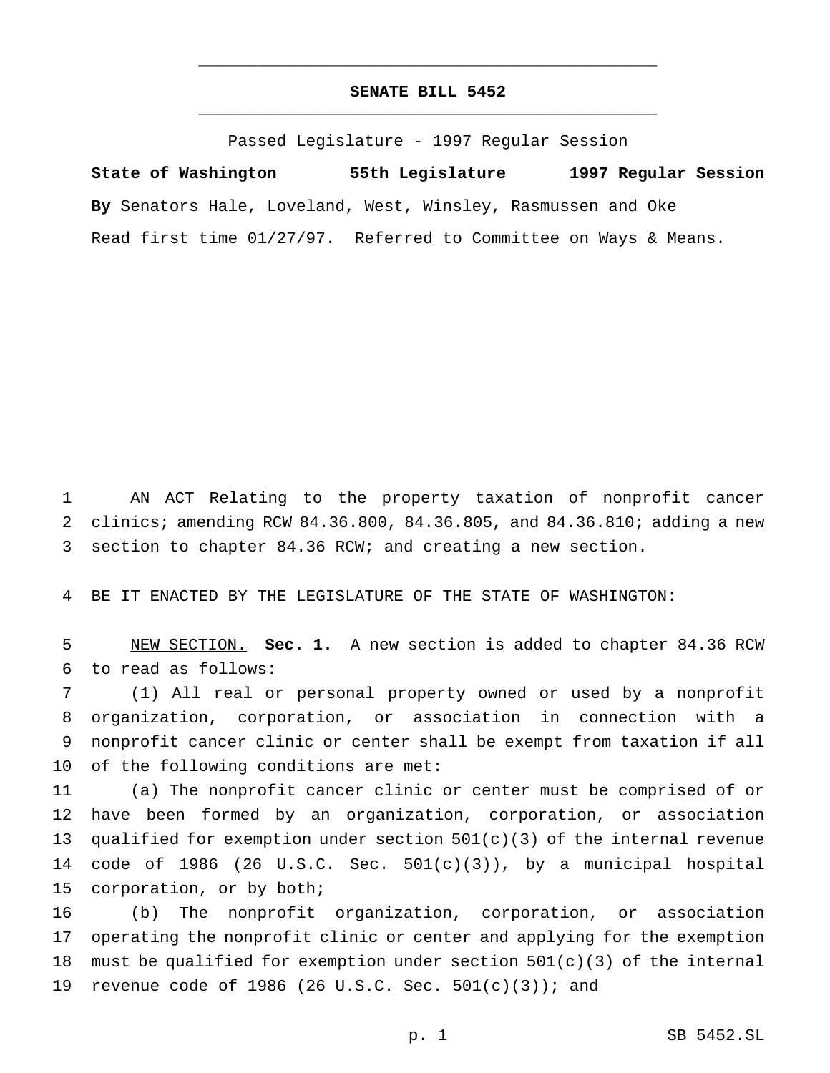## **SENATE BILL 5452** \_\_\_\_\_\_\_\_\_\_\_\_\_\_\_\_\_\_\_\_\_\_\_\_\_\_\_\_\_\_\_\_\_\_\_\_\_\_\_\_\_\_\_\_\_\_\_

\_\_\_\_\_\_\_\_\_\_\_\_\_\_\_\_\_\_\_\_\_\_\_\_\_\_\_\_\_\_\_\_\_\_\_\_\_\_\_\_\_\_\_\_\_\_\_

Passed Legislature - 1997 Regular Session

**State of Washington 55th Legislature 1997 Regular Session By** Senators Hale, Loveland, West, Winsley, Rasmussen and Oke Read first time 01/27/97. Referred to Committee on Ways & Means.

1 AN ACT Relating to the property taxation of nonprofit cancer 2 clinics; amending RCW 84.36.800, 84.36.805, and 84.36.810; adding a new 3 section to chapter 84.36 RCW; and creating a new section.

4 BE IT ENACTED BY THE LEGISLATURE OF THE STATE OF WASHINGTON:

5 NEW SECTION. **Sec. 1.** A new section is added to chapter 84.36 RCW 6 to read as follows:

 (1) All real or personal property owned or used by a nonprofit organization, corporation, or association in connection with a nonprofit cancer clinic or center shall be exempt from taxation if all of the following conditions are met:

 (a) The nonprofit cancer clinic or center must be comprised of or have been formed by an organization, corporation, or association 13 qualified for exemption under section  $501(c)(3)$  of the internal revenue code of 1986 (26 U.S.C. Sec. 501(c)(3)), by a municipal hospital corporation, or by both;

16 (b) The nonprofit organization, corporation, or association 17 operating the nonprofit clinic or center and applying for the exemption 18 must be qualified for exemption under section  $501(c)(3)$  of the internal 19 revenue code of 1986 (26 U.S.C. Sec.  $501(c)(3)$ ); and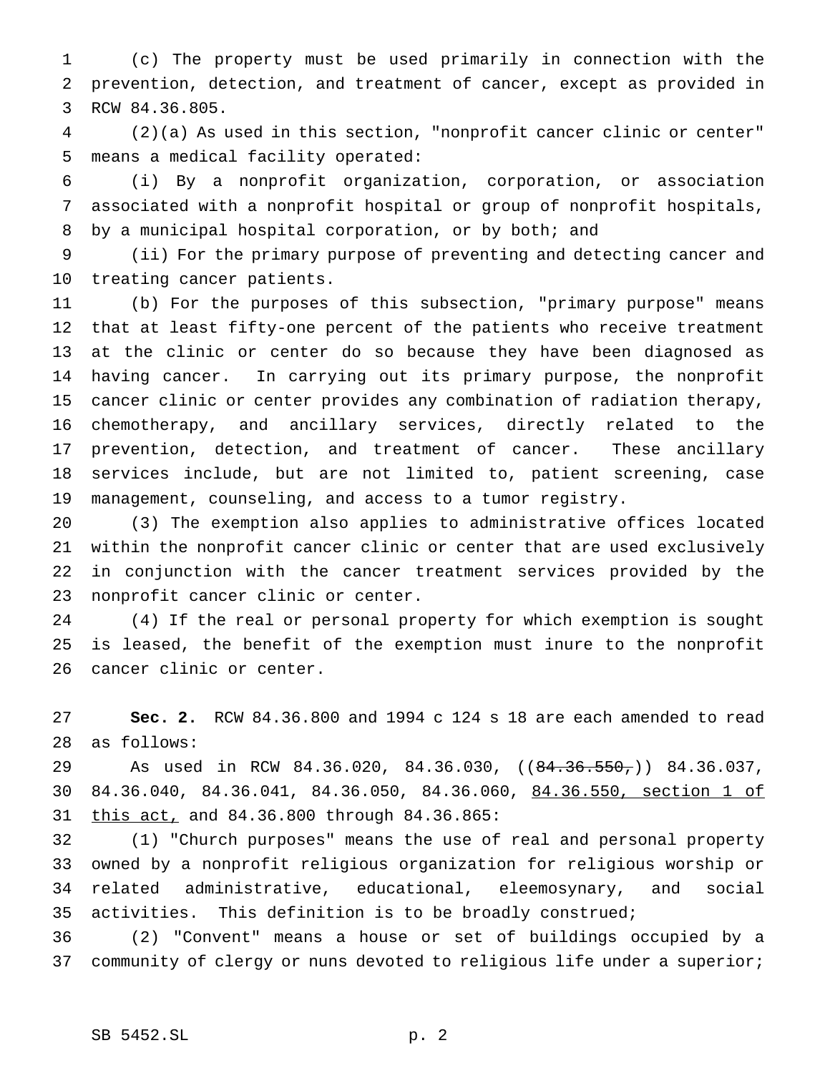(c) The property must be used primarily in connection with the prevention, detection, and treatment of cancer, except as provided in RCW 84.36.805.

 (2)(a) As used in this section, "nonprofit cancer clinic or center" means a medical facility operated:

 (i) By a nonprofit organization, corporation, or association associated with a nonprofit hospital or group of nonprofit hospitals, by a municipal hospital corporation, or by both; and

 (ii) For the primary purpose of preventing and detecting cancer and treating cancer patients.

 (b) For the purposes of this subsection, "primary purpose" means that at least fifty-one percent of the patients who receive treatment at the clinic or center do so because they have been diagnosed as having cancer. In carrying out its primary purpose, the nonprofit cancer clinic or center provides any combination of radiation therapy, chemotherapy, and ancillary services, directly related to the prevention, detection, and treatment of cancer. These ancillary services include, but are not limited to, patient screening, case management, counseling, and access to a tumor registry.

 (3) The exemption also applies to administrative offices located within the nonprofit cancer clinic or center that are used exclusively in conjunction with the cancer treatment services provided by the nonprofit cancer clinic or center.

 (4) If the real or personal property for which exemption is sought is leased, the benefit of the exemption must inure to the nonprofit cancer clinic or center.

 **Sec. 2.** RCW 84.36.800 and 1994 c 124 s 18 are each amended to read as follows:

29 As used in RCW 84.36.020, 84.36.030, ((84.36.550,)) 84.36.037, 84.36.040, 84.36.041, 84.36.050, 84.36.060, 84.36.550, section 1 of 31 this act, and 84.36.800 through 84.36.865:

 (1) "Church purposes" means the use of real and personal property owned by a nonprofit religious organization for religious worship or related administrative, educational, eleemosynary, and social activities. This definition is to be broadly construed;

 (2) "Convent" means a house or set of buildings occupied by a 37 community of clergy or nuns devoted to religious life under a superior;

### SB 5452.SL p. 2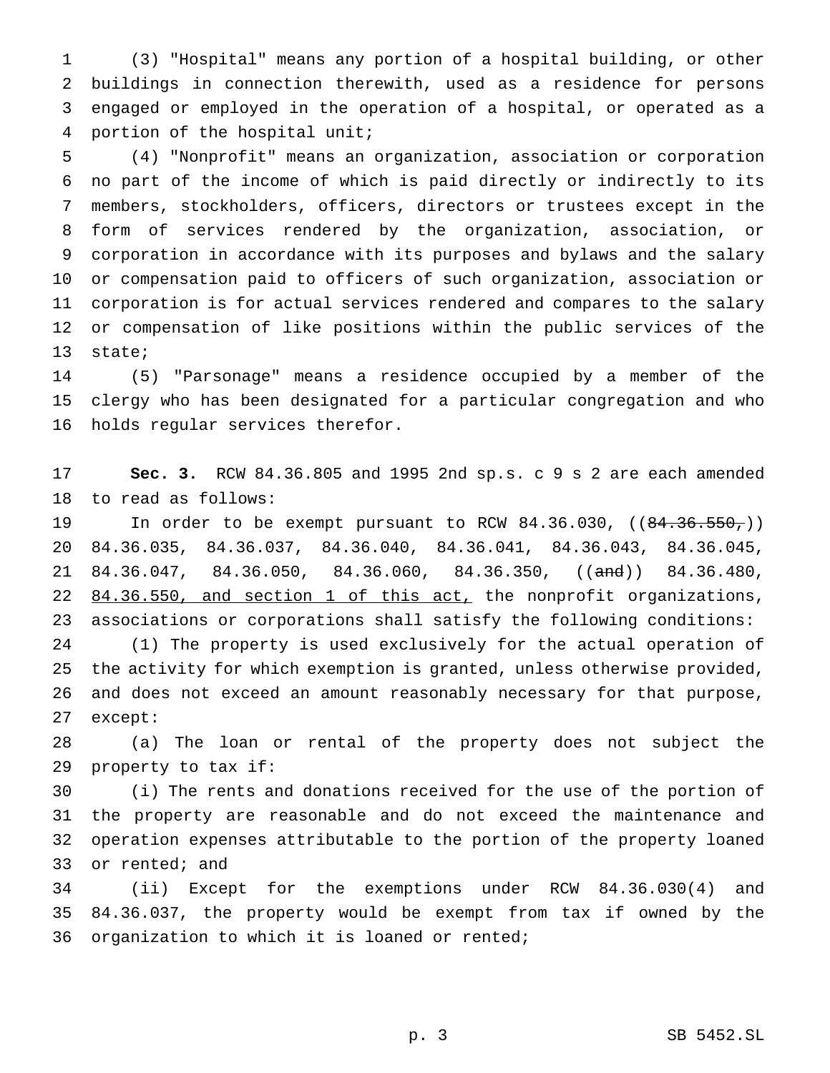(3) "Hospital" means any portion of a hospital building, or other buildings in connection therewith, used as a residence for persons engaged or employed in the operation of a hospital, or operated as a portion of the hospital unit;

 (4) "Nonprofit" means an organization, association or corporation no part of the income of which is paid directly or indirectly to its members, stockholders, officers, directors or trustees except in the form of services rendered by the organization, association, or corporation in accordance with its purposes and bylaws and the salary or compensation paid to officers of such organization, association or corporation is for actual services rendered and compares to the salary or compensation of like positions within the public services of the state;

 (5) "Parsonage" means a residence occupied by a member of the clergy who has been designated for a particular congregation and who holds regular services therefor.

 **Sec. 3.** RCW 84.36.805 and 1995 2nd sp.s. c 9 s 2 are each amended to read as follows:

19 In order to be exempt pursuant to RCW 84.36.030, ((84.36.550,)) 84.36.035, 84.36.037, 84.36.040, 84.36.041, 84.36.043, 84.36.045, 21 84.36.047, 84.36.050, 84.36.060, 84.36.350, ((and)) 84.36.480, 22 84.36.550, and section 1 of this act, the nonprofit organizations, associations or corporations shall satisfy the following conditions: (1) The property is used exclusively for the actual operation of the activity for which exemption is granted, unless otherwise provided, and does not exceed an amount reasonably necessary for that purpose, except:

 (a) The loan or rental of the property does not subject the property to tax if:

 (i) The rents and donations received for the use of the portion of the property are reasonable and do not exceed the maintenance and operation expenses attributable to the portion of the property loaned or rented; and

 (ii) Except for the exemptions under RCW 84.36.030(4) and 84.36.037, the property would be exempt from tax if owned by the organization to which it is loaned or rented;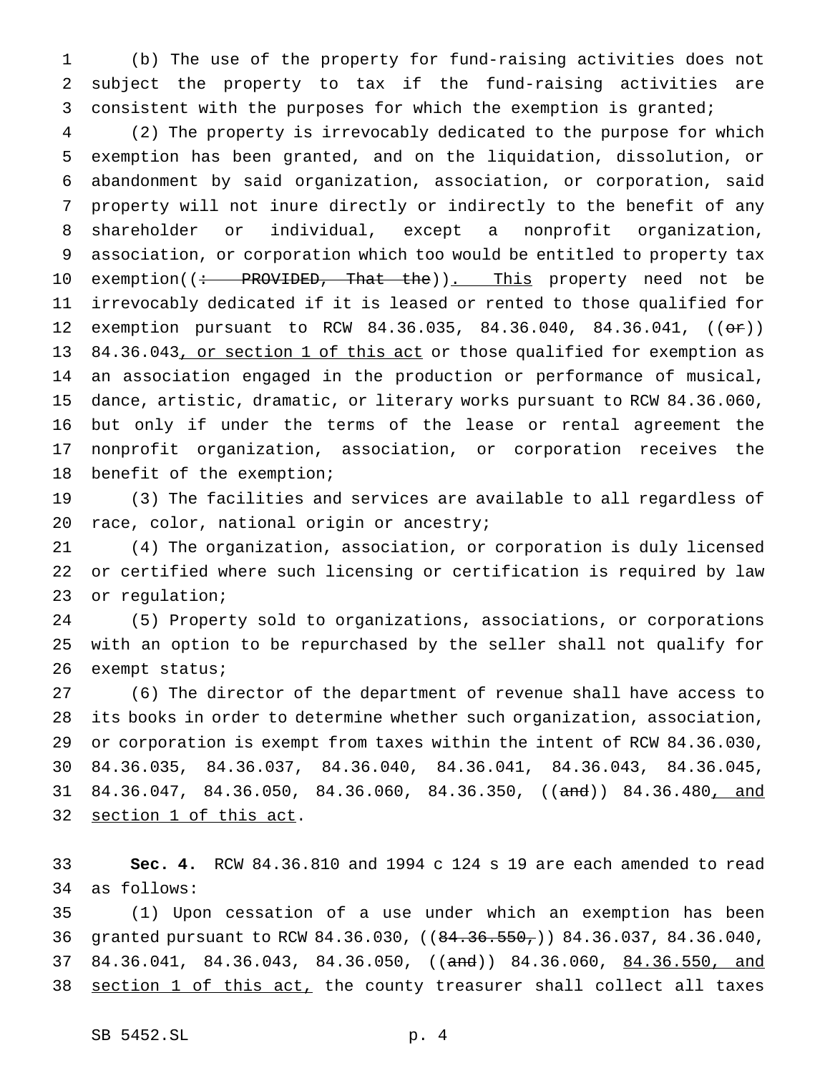(b) The use of the property for fund-raising activities does not subject the property to tax if the fund-raising activities are consistent with the purposes for which the exemption is granted;

 (2) The property is irrevocably dedicated to the purpose for which exemption has been granted, and on the liquidation, dissolution, or abandonment by said organization, association, or corporation, said property will not inure directly or indirectly to the benefit of any shareholder or individual, except a nonprofit organization, association, or corporation which too would be entitled to property tax 10 exemption((: PROVIDED, That the)). This property need not be irrevocably dedicated if it is leased or rented to those qualified for 12 exemption pursuant to RCW 84.36.035, 84.36.040, 84.36.041, ((or)) 13 84.36.043, or section 1 of this act or those qualified for exemption as an association engaged in the production or performance of musical, dance, artistic, dramatic, or literary works pursuant to RCW 84.36.060, but only if under the terms of the lease or rental agreement the nonprofit organization, association, or corporation receives the benefit of the exemption;

 (3) The facilities and services are available to all regardless of race, color, national origin or ancestry;

 (4) The organization, association, or corporation is duly licensed or certified where such licensing or certification is required by law or regulation;

 (5) Property sold to organizations, associations, or corporations with an option to be repurchased by the seller shall not qualify for exempt status;

 (6) The director of the department of revenue shall have access to its books in order to determine whether such organization, association, or corporation is exempt from taxes within the intent of RCW 84.36.030, 84.36.035, 84.36.037, 84.36.040, 84.36.041, 84.36.043, 84.36.045, 31 84.36.047, 84.36.050, 84.36.060, 84.36.350, ((and)) 84.36.480, and 32 section 1 of this act.

 **Sec. 4.** RCW 84.36.810 and 1994 c 124 s 19 are each amended to read as follows:

 (1) Upon cessation of a use under which an exemption has been granted pursuant to RCW 84.36.030, ((84.36.550,)) 84.36.037, 84.36.040, 37 84.36.041, 84.36.043, 84.36.050, ((and)) 84.36.060, 84.36.550, and 38 section 1 of this act, the county treasurer shall collect all taxes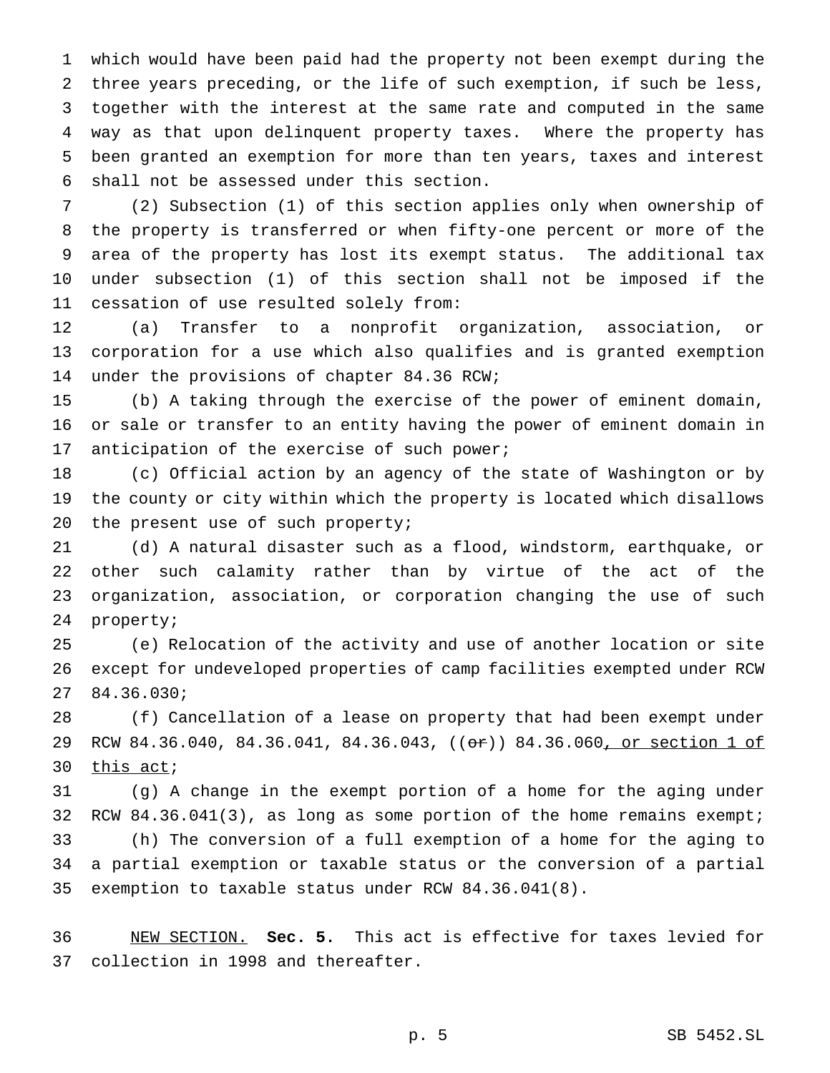which would have been paid had the property not been exempt during the three years preceding, or the life of such exemption, if such be less, together with the interest at the same rate and computed in the same way as that upon delinquent property taxes. Where the property has been granted an exemption for more than ten years, taxes and interest shall not be assessed under this section.

 (2) Subsection (1) of this section applies only when ownership of the property is transferred or when fifty-one percent or more of the area of the property has lost its exempt status. The additional tax under subsection (1) of this section shall not be imposed if the cessation of use resulted solely from:

 (a) Transfer to a nonprofit organization, association, or corporation for a use which also qualifies and is granted exemption under the provisions of chapter 84.36 RCW;

 (b) A taking through the exercise of the power of eminent domain, or sale or transfer to an entity having the power of eminent domain in anticipation of the exercise of such power;

 (c) Official action by an agency of the state of Washington or by the county or city within which the property is located which disallows 20 the present use of such property;

 (d) A natural disaster such as a flood, windstorm, earthquake, or other such calamity rather than by virtue of the act of the organization, association, or corporation changing the use of such property;

 (e) Relocation of the activity and use of another location or site except for undeveloped properties of camp facilities exempted under RCW 84.36.030;

 (f) Cancellation of a lease on property that had been exempt under 29 RCW 84.36.040, 84.36.041, 84.36.043, ((or)) 84.36.060, or section 1 of 30 this act;

 (g) A change in the exempt portion of a home for the aging under RCW 84.36.041(3), as long as some portion of the home remains exempt; (h) The conversion of a full exemption of a home for the aging to a partial exemption or taxable status or the conversion of a partial exemption to taxable status under RCW 84.36.041(8).

 NEW SECTION. **Sec. 5.** This act is effective for taxes levied for collection in 1998 and thereafter.